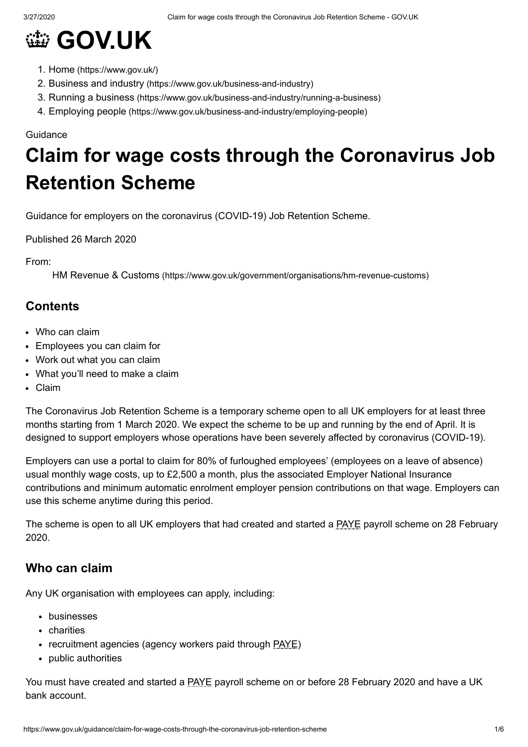

- 1. Home [\(https://www.gov.uk/\)](https://www.gov.uk/)
- 2. Business and industry [\(https://www.gov.uk/business-and-industry\)](https://www.gov.uk/business-and-industry)
- 3. Running a business [\(https://www.gov.uk/business-and-industry/running-a-business\)](https://www.gov.uk/business-and-industry/running-a-business)
- 4. Employing people [\(https://www.gov.uk/business-and-industry/employing-people\)](https://www.gov.uk/business-and-industry/employing-people)

#### Guidance

# **Claim for wage costs through the Coronavirus Job Retention Scheme**

Guidance for employers on the coronavirus (COVID-19) Job Retention Scheme.

Published 26 March 2020

From:

HM Revenue & Customs [\(https://www.gov.uk/government/organisations/hm-revenue-customs\)](https://www.gov.uk/government/organisations/hm-revenue-customs)

# **Contents**

- Who can [claim](#page-0-0)
- [Employees](#page-1-0) you can claim for
- Work out what you can [claim](#page-2-0)
- What you'll need to [make](#page-4-0) a claim
- [Claim](#page-4-1)

The Coronavirus Job Retention Scheme is a temporary scheme open to all UK employers for at least three months starting from 1 March 2020. We expect the scheme to be up and running by the end of April. It is designed to support employers whose operations have been severely affected by coronavirus (COVID-19).

Employers can use a portal to claim for 80% of furloughed employees' (employees on a leave of absence) usual monthly wage costs, up to £2,500 a month, plus the associated Employer National Insurance contributions and minimum automatic enrolment employer pension contributions on that wage. Employers can use this scheme anytime during this period.

The scheme is open to all UK employers that had created and started a PAYE payroll scheme on 28 February 2020.

# <span id="page-0-0"></span>**Who can claim**

Any UK organisation with employees can apply, including:

- businesses
- charities
- recruitment agencies (agency workers paid through PAYE)
- public authorities

You must have created and started a **PAYE** payroll scheme on or before 28 February 2020 and have a UK bank account.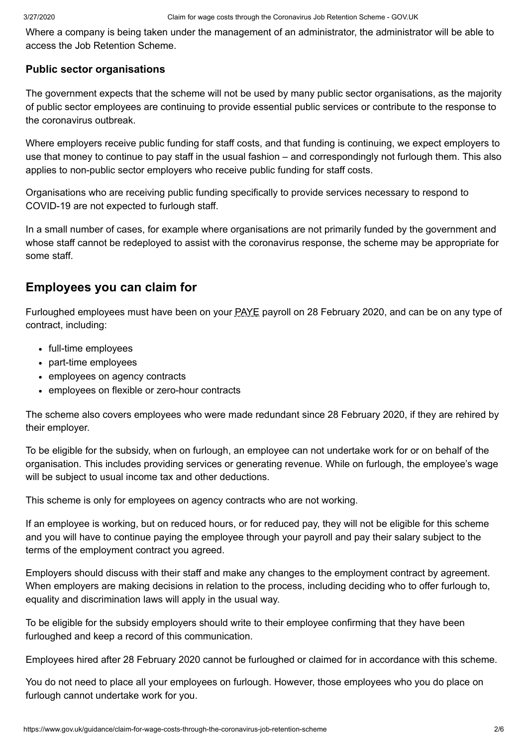Where a company is being taken under the management of an administrator, the administrator will be able to access the Job Retention Scheme.

## **Public sector organisations**

The government expects that the scheme will not be used by many public sector organisations, as the majority of public sector employees are continuing to provide essential public services or contribute to the response to the coronavirus outbreak.

Where employers receive public funding for staff costs, and that funding is continuing, we expect employers to use that money to continue to pay staff in the usual fashion – and correspondingly not furlough them. This also applies to non-public sector employers who receive public funding for staff costs.

Organisations who are receiving public funding specifically to provide services necessary to respond to COVID-19 are not expected to furlough staff.

In a small number of cases, for example where organisations are not primarily funded by the government and whose staff cannot be redeployed to assist with the coronavirus response, the scheme may be appropriate for some staff.

# <span id="page-1-0"></span>**Employees you can claim for**

Furloughed employees must have been on your PAYE payroll on 28 February 2020, and can be on any type of contract, including:

- full-time employees
- part-time employees
- employees on agency contracts
- employees on flexible or zero-hour contracts

The scheme also covers employees who were made redundant since 28 February 2020, if they are rehired by their employer.

To be eligible for the subsidy, when on furlough, an employee can not undertake work for or on behalf of the organisation. This includes providing services or generating revenue. While on furlough, the employee's wage will be subject to usual income tax and other deductions.

This scheme is only for employees on agency contracts who are not working.

If an employee is working, but on reduced hours, or for reduced pay, they will not be eligible for this scheme and you will have to continue paying the employee through your payroll and pay their salary subject to the terms of the employment contract you agreed.

Employers should discuss with their staff and make any changes to the employment contract by agreement. When employers are making decisions in relation to the process, including deciding who to offer furlough to, equality and discrimination laws will apply in the usual way.

To be eligible for the subsidy employers should write to their employee confirming that they have been furloughed and keep a record of this communication.

Employees hired after 28 February 2020 cannot be furloughed or claimed for in accordance with this scheme.

You do not need to place all your employees on furlough. However, those employees who you do place on furlough cannot undertake work for you.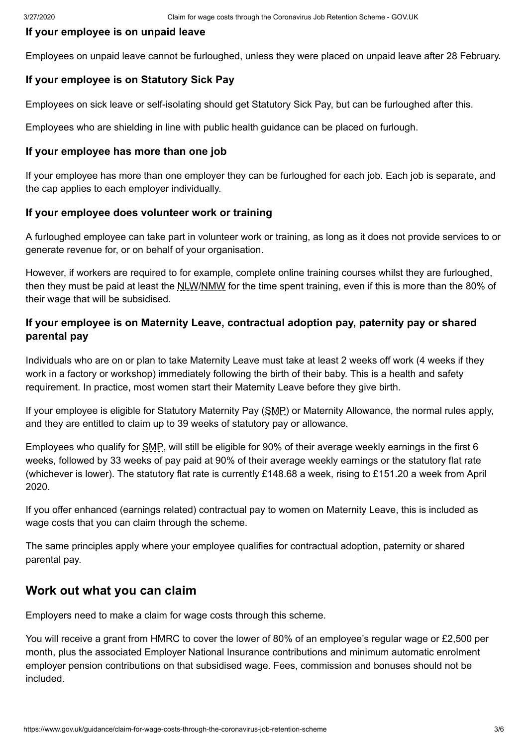#### **If your employee is on unpaid leave**

Employees on unpaid leave cannot be furloughed, unless they were placed on unpaid leave after 28 February.

## **If your employee is on Statutory Sick Pay**

Employees on sick leave or self-isolating should get Statutory Sick Pay, but can be furloughed after this.

Employees who are shielding in line with public health guidance can be placed on furlough.

#### **If your employee has more than one job**

If your employee has more than one employer they can be furloughed for each job. Each job is separate, and the cap applies to each employer individually.

#### **If your employee does volunteer work or training**

A furloughed employee can take part in volunteer work or training, as long as it does not provide services to or generate revenue for, or on behalf of your organisation.

However, if workers are required to for example, complete online training courses whilst they are furloughed, then they must be paid at least the NLW/NMW for the time spent training, even if this is more than the 80% of their wage that will be subsidised.

# **If your employee is on Maternity Leave, contractual adoption pay, paternity pay or shared parental pay**

Individuals who are on or plan to take Maternity Leave must take at least 2 weeks off work (4 weeks if they work in a factory or workshop) immediately following the birth of their baby. This is a health and safety requirement. In practice, most women start their Maternity Leave before they give birth.

If your employee is eligible for Statutory Maternity Pay (SMP) or Maternity Allowance, the normal rules apply, and they are entitled to claim up to 39 weeks of statutory pay or allowance.

Employees who qualify for SMP, will still be eligible for 90% of their average weekly earnings in the first 6 weeks, followed by 33 weeks of pay paid at 90% of their average weekly earnings or the statutory flat rate (whichever is lower). The statutory flat rate is currently £148.68 a week, rising to £151.20 a week from April 2020.

If you offer enhanced (earnings related) contractual pay to women on Maternity Leave, this is included as wage costs that you can claim through the scheme.

The same principles apply where your employee qualifies for contractual adoption, paternity or shared parental pay.

# <span id="page-2-0"></span>**Work out what you can claim**

Employers need to make a claim for wage costs through this scheme.

You will receive a grant from HMRC to cover the lower of 80% of an employee's regular wage or £2,500 per month, plus the associated Employer National Insurance contributions and minimum automatic enrolment employer pension contributions on that subsidised wage. Fees, commission and bonuses should not be included.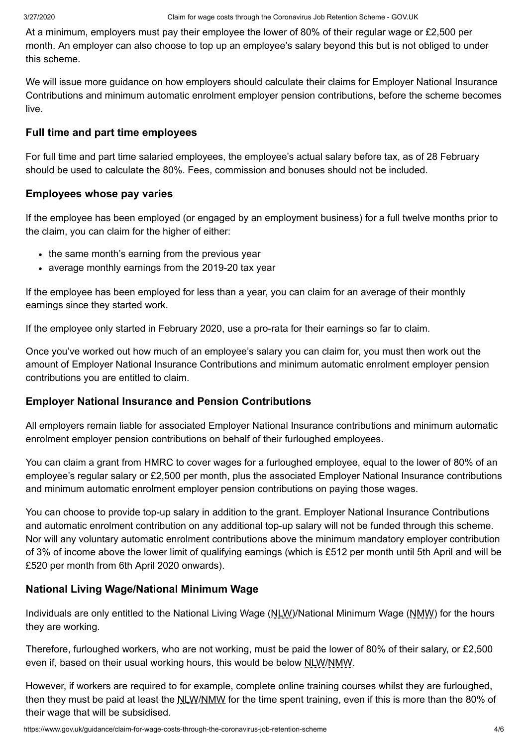At a minimum, employers must pay their employee the lower of 80% of their regular wage or £2,500 per month. An employer can also choose to top up an employee's salary beyond this but is not obliged to under this scheme.

We will issue more guidance on how employers should calculate their claims for Employer National Insurance Contributions and minimum automatic enrolment employer pension contributions, before the scheme becomes live.

#### **Full time and part time employees**

For full time and part time salaried employees, the employee's actual salary before tax, as of 28 February should be used to calculate the 80%. Fees, commission and bonuses should not be included.

#### **Employees whose pay varies**

If the employee has been employed (or engaged by an employment business) for a full twelve months prior to the claim, you can claim for the higher of either:

- the same month's earning from the previous year
- average monthly earnings from the 2019-20 tax year

If the employee has been employed for less than a year, you can claim for an average of their monthly earnings since they started work.

If the employee only started in February 2020, use a pro-rata for their earnings so far to claim.

Once you've worked out how much of an employee's salary you can claim for, you must then work out the amount of Employer National Insurance Contributions and minimum automatic enrolment employer pension contributions you are entitled to claim.

## **Employer National Insurance and Pension Contributions**

All employers remain liable for associated Employer National Insurance contributions and minimum automatic enrolment employer pension contributions on behalf of their furloughed employees.

You can claim a grant from HMRC to cover wages for a furloughed employee, equal to the lower of 80% of an employee's regular salary or £2,500 per month, plus the associated Employer National Insurance contributions and minimum automatic enrolment employer pension contributions on paying those wages.

You can choose to provide top-up salary in addition to the grant. Employer National Insurance Contributions and automatic enrolment contribution on any additional top-up salary will not be funded through this scheme. Nor will any voluntary automatic enrolment contributions above the minimum mandatory employer contribution of 3% of income above the lower limit of qualifying earnings (which is £512 per month until 5th April and will be £520 per month from 6th April 2020 onwards).

## **National Living Wage/National Minimum Wage**

Individuals are only entitled to the National Living Wage (NLW)/National Minimum Wage (NMW) for the hours they are working.

Therefore, furloughed workers, who are not working, must be paid the lower of 80% of their salary, or £2,500 even if, based on their usual working hours, this would be below **NLW/NMW**.

However, if workers are required to for example, complete online training courses whilst they are furloughed, then they must be paid at least the NLW/NMW for the time spent training, even if this is more than the 80% of their wage that will be subsidised.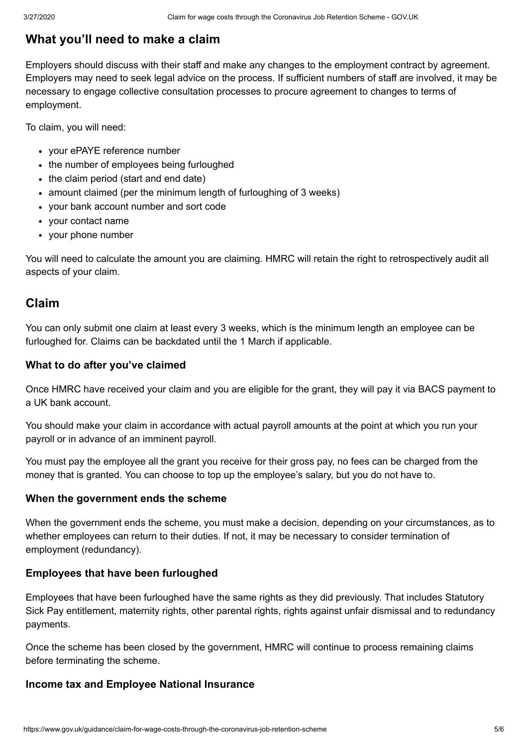# <span id="page-4-0"></span>**What you'll need to make a claim**

Employers should discuss with their staff and make any changes to the employment contract by agreement. Employers may need to seek legal advice on the process. If sufficient numbers of staff are involved, it may be necessary to engage collective consultation processes to procure agreement to changes to terms of employment.

To claim, you will need:

- your ePAYE reference number
- the number of employees being furloughed
- the claim period (start and end date)
- amount claimed (per the minimum length of furloughing of 3 weeks)
- your bank account number and sort code
- your contact name
- your phone number

You will need to calculate the amount you are claiming. HMRC will retain the right to retrospectively audit all aspects of your claim.

# <span id="page-4-1"></span>**Claim**

You can only submit one claim at least every 3 weeks, which is the minimum length an employee can be furloughed for. Claims can be backdated until the 1 March if applicable.

## **What to do after you've claimed**

Once HMRC have received your claim and you are eligible for the grant, they will pay it via BACS payment to a UK bank account.

You should make your claim in accordance with actual payroll amounts at the point at which you run your payroll or in advance of an imminent payroll.

You must pay the employee all the grant you receive for their gross pay, no fees can be charged from the money that is granted. You can choose to top up the employee's salary, but you do not have to.

## **When the government ends the scheme**

When the government ends the scheme, you must make a decision, depending on your circumstances, as to whether employees can return to their duties. If not, it may be necessary to consider termination of employment (redundancy).

## **Employees that have been furloughed**

Employees that have been furloughed have the same rights as they did previously. That includes Statutory Sick Pay entitlement, maternity rights, other parental rights, rights against unfair dismissal and to redundancy payments.

Once the scheme has been closed by the government, HMRC will continue to process remaining claims before terminating the scheme.

## **Income tax and Employee National Insurance**